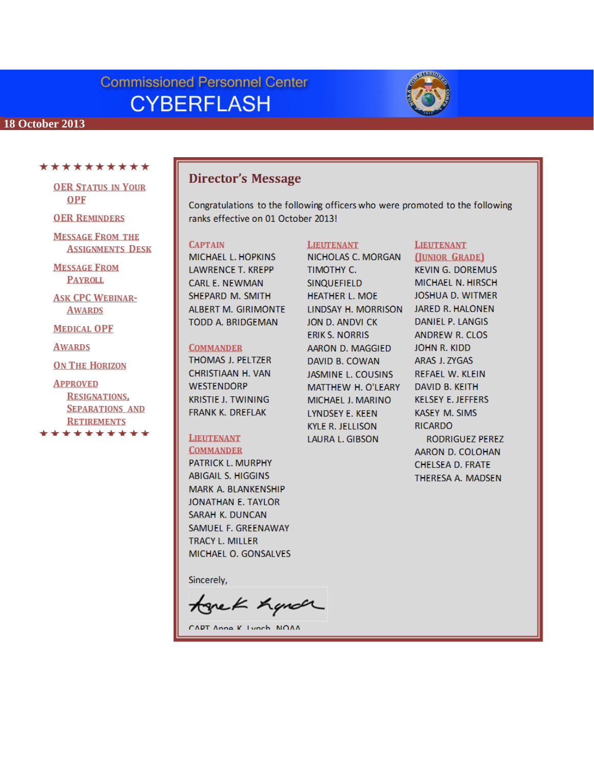# **Commissioned Personnel Center CYBERFLASH**



#### **18 October 2013**

#### \*\*\*\*\*\*\*\*\*\*

**OER STATUS IN YOUR OPF** 

**OER REMINDERS** 

**MESSAGE FROM THE ASSIGNMENTS DESK** 

**MESSAGE FROM PAYROLL** 

**ASK CPC WEBINAR-AWARDS** 

**MEDICAL OPF** 

**AWARDS** 

**ON THE HORIZON** 

**APPROVED RESIGNATIONS,** 

**SEPARATIONS AND RETIREMENTS** یک میک میک میک میک میک

# **Director's Message**

Congratulations to the following officers who were promoted to the following ranks effective on 01 October 2013!

#### **CAPTAIN**

MICHAEL L. HOPKINS **LAWRENCE T. KREPP CARL E. NEWMAN** SHEPARD M. SMITH ALBERT M. GIRIMONTE TODD A. BRIDGEMAN

#### **COMMANDER**

THOMAS J. PELTZER CHRISTIAAN H. VAN **WESTENDORP KRISTIE J. TWINING FRANK K. DREFLAK** 

# **LIEUTENANT**

**COMMANDER** PATRICK L. MURPHY ABIGAIL S. HIGGINS MARK A. BLANKENSHIP JONATHAN E. TAYLOR SARAH K. DUNCAN SAMUEL F. GREENAWAY **TRACY L. MILLER** MICHAEL O. GONSALVES

Sincerely,

tonek handr

CAPT Anna K Lunch NOAA

#### **LIEUTENANT**

NICHOLAS C. MORGAN TIMOTHY C. SINQUEFIELD **HEATHER L. MOE** LINDSAY H. MORRISON JON D. ANDVI CK **ERIK S. NORRIS** AARON D. MAGGIED DAVID B. COWAN **JASMINE L. COUSINS** MATTHEW H. O'LEARY MICHAEL J. MARINO **LYNDSEY E. KEEN KYLE R. JELLISON** LAURA L. GIBSON

#### **LIEUTENANT** (JUNIOR GRADE)

**KEVIN G. DOREMUS** MICHAEL N. HIRSCH **JOSHUA D. WITMER** JARED R. HALONEN DANIEL P. LANGIS **ANDREW R. CLOS** JOHN R. KIDD ARAS J. ZYGAS **REFAEL W. KLEIN** DAVID B. KEITH **KELSEY E. JEFFERS KASEY M. SIMS RICARDO** RODRIGUEZ PEREZ AARON D. COLOHAN CHELSEA D. FRATE THERESA A. MADSEN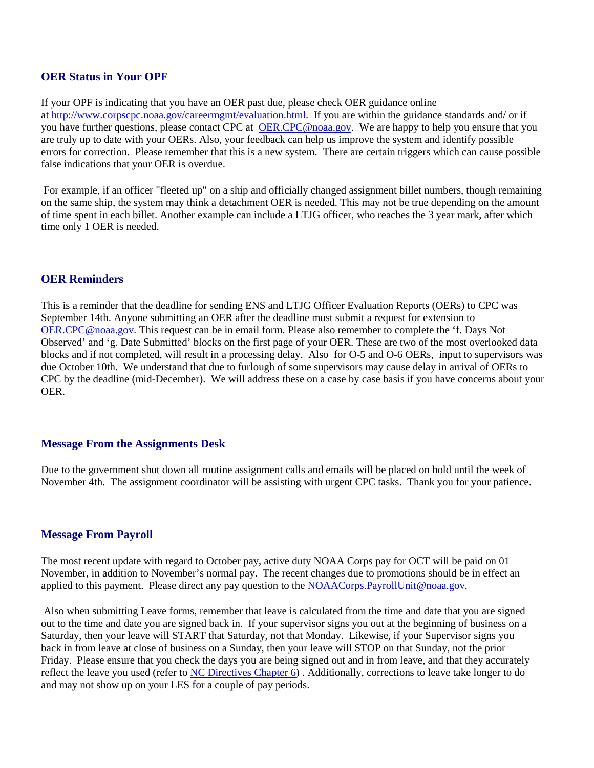# **OER Status in Your OPF**

If your OPF is indicating that you have an OER past due, please check OER guidance online at [http://www.corpscpc.noaa.gov/careermgmt/evaluation.html.](http://www.corpscpc.noaa.gov/careermgmt/evaluation.html) If you are within the guidance standards and/ or if you have further questions, please contact CPC at [OER.CPC@noaa.gov.](mailto:OER.CPC@noaa.gov) We are happy to help you ensure that you are truly up to date with your OERs. Also, your feedback can help us improve the system and identify possible errors for correction. Please remember that this is a new system. There are certain triggers which can cause possible false indications that your OER is overdue.

For example, if an officer "fleeted up" on a ship and officially changed assignment billet numbers, though remaining on the same ship, the system may think a detachment OER is needed. This may not be true depending on the amount of time spent in each billet. Another example can include a LTJG officer, who reaches the 3 year mark, after which time only 1 OER is needed.

# **OER Reminders**

This is a reminder that the deadline for sending ENS and LTJG Officer Evaluation Reports (OERs) to CPC was September 14th. Anyone submitting an OER after the deadline must submit a request for extension to [OER.CPC@noaa.gov.](mailto:OER.CPC@noaa.gov) This request can be in email form. Please also remember to complete the 'f. Days Not Observed' and 'g. Date Submitted' blocks on the first page of your OER. These are two of the most overlooked data blocks and if not completed, will result in a processing delay. Also for O-5 and O-6 OERs, input to supervisors was due October 10th. We understand that due to furlough of some supervisors may cause delay in arrival of OERs to CPC by the deadline (mid-December). We will address these on a case by case basis if you have concerns about your OER.

# **Message From the Assignments Desk**

Due to the government shut down all routine assignment calls and emails will be placed on hold until the week of November 4th. The assignment coordinator will be assisting with urgent CPC tasks. Thank you for your patience.

# **Message From Payroll**

The most recent update with regard to October pay, active duty NOAA Corps pay for OCT will be paid on 01 November, in addition to November's normal pay. The recent changes due to promotions should be in effect an applied to this payment. Please direct any pay question to the NOAACorps. PayrollUnit@noaa.gov.

Also when submitting Leave forms, remember that leave is calculated from the time and date that you are signed out to the time and date you are signed back in. If your supervisor signs you out at the beginning of business on a Saturday, then your leave will START that Saturday, not that Monday. Likewise, if your Supervisor signs you back in from leave at close of business on a Sunday, then your leave will STOP on that Sunday, not the prior Friday. Please ensure that you check the days you are being signed out and in from leave, and that they accurately reflect the leave you used (refer to [NC Directives Chapter 6\)](http://www.corpscpc.noaa.gov/procedures/corps_directives/chapter_6/ncd_ch6.pdf) . Additionally, corrections to leave take longer to do and may not show up on your LES for a couple of pay periods.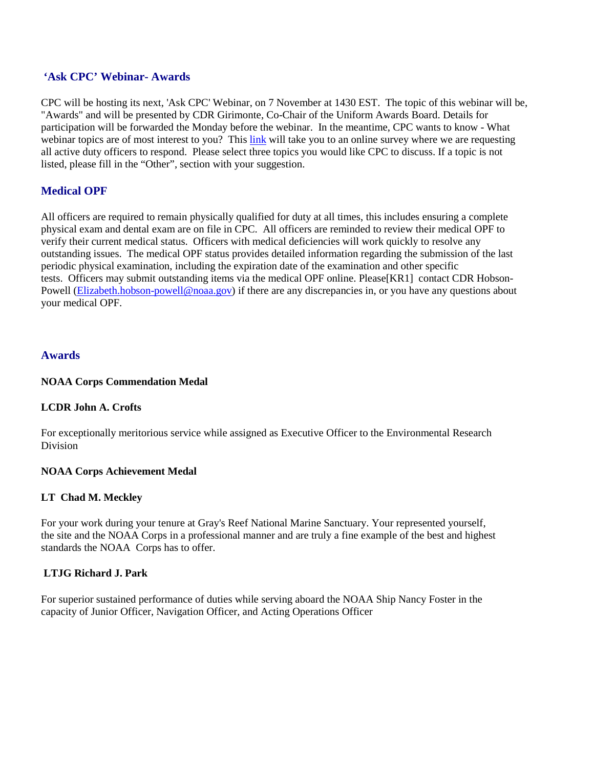# **'Ask CPC' Webinar- Awards**

CPC will be hosting its next, 'Ask CPC' Webinar, on 7 November at 1430 EST. The topic of this webinar will be, "Awards" and will be presented by CDR Girimonte, Co-Chair of the Uniform Awards Board. Details for participation will be forwarded the Monday before the webinar. In the meantime, CPC wants to know - What webinar topics are of most interest to you? This [link](https://docs.google.com/a/noaa.gov/spreadsheet/viewform?usp=drive_web&formkey=dGRTVDI5UkV0SjR6OHUxVjVhaTFxR0E6MQ#gid=0) will take you to an online survey where we are requesting all active duty officers to respond. Please select three topics you would like CPC to discuss. If a topic is not listed, please fill in the "Other", section with your suggestion.

# **Medical OPF**

All officers are required to remain physically qualified for duty at all times, this includes ensuring a complete physical exam and dental exam are on file in CPC. All officers are reminded to review their medical OPF to verify their current medical status. Officers with medical deficiencies will work quickly to resolve any outstanding issues. The medical OPF status provides detailed information regarding the submission of the last periodic physical examination, including the expiration date of the examination and other specific tests. Officers may submit outstanding items via the medical OPF online. Please[KR1] contact CDR Hobson-Powell [\(Elizabeth.hobson-powell@noaa.gov\)](mailto:Elizabeth.hobson-powell@noaa.gov) if there are any discrepancies in, or you have any questions about your medical OPF.

# **Awards**

#### **NOAA Corps Commendation Medal**

# **LCDR John A. Crofts**

For exceptionally meritorious service while assigned as Executive Officer to the Environmental Research **Division** 

# **NOAA Corps Achievement Medal**

# **LT Chad M. Meckley**

For your work during your tenure at Gray's Reef National Marine Sanctuary. Your represented yourself, the site and the NOAA Corps in a professional manner and are truly a fine example of the best and highest standards the NOAA Corps has to offer.

# **LTJG Richard J. Park**

For superior sustained performance of duties while serving aboard the NOAA Ship Nancy Foster in the capacity of Junior Officer, Navigation Officer, and Acting Operations Officer